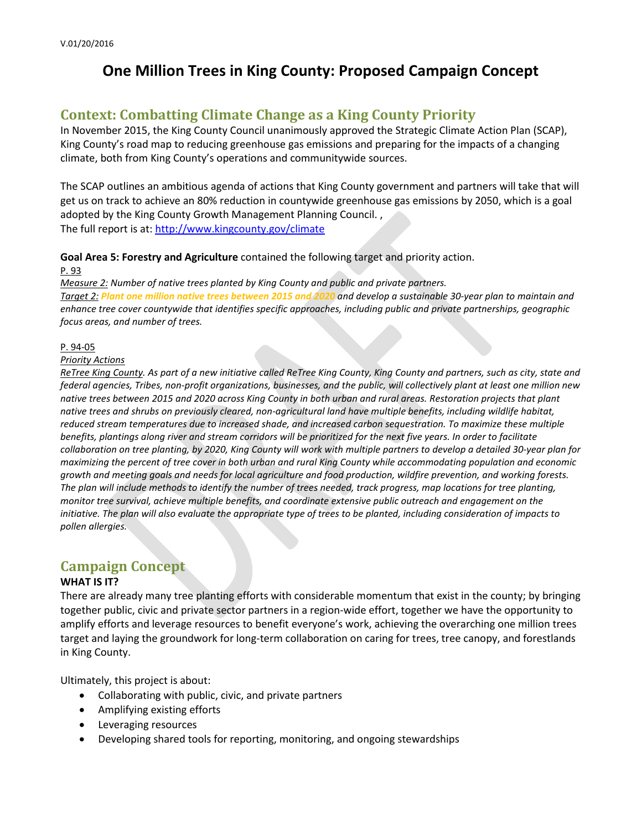# **One Million Trees in King County: Proposed Campaign Concept**

## **Context: Combatting Climate Change as a King County Priority**

In November 2015, the King County Council unanimously approved the Strategic Climate Action Plan (SCAP), King County's road map to reducing greenhouse gas emissions and preparing for the impacts of a changing climate, both from King County's operations and communitywide sources.

The SCAP outlines an ambitious agenda of actions that King County government and partners will take that will get us on track to achieve an 80% reduction in countywide greenhouse gas emissions by 2050, which is a goal adopted by the King County Growth Management Planning Council. , The full report is at:<http://www.kingcounty.gov/climate>

### **Goal Area 5: Forestry and Agriculture** contained the following target and priority action.

#### P. 93

*Measure 2: Number of native trees planted by King County and public and private partners. Target 2: Plant one million native trees between 2015 and 2020 and develop a sustainable 30-year plan to maintain and enhance tree cover countywide that identifies specific approaches, including public and private partnerships, geographic focus areas, and number of trees.*

### P. 94-05

### *Priority Actions*

*ReTree King County. As part of a new initiative called ReTree King County, King County and partners, such as city, state and federal agencies, Tribes, non-profit organizations, businesses, and the public, will collectively plant at least one million new native trees between 2015 and 2020 across King County in both urban and rural areas. Restoration projects that plant native trees and shrubs on previously cleared, non-agricultural land have multiple benefits, including wildlife habitat, reduced stream temperatures due to increased shade, and increased carbon sequestration. To maximize these multiple benefits, plantings along river and stream corridors will be prioritized for the next five years. In order to facilitate collaboration on tree planting, by 2020, King County will work with multiple partners to develop a detailed 30-year plan for maximizing the percent of tree cover in both urban and rural King County while accommodating population and economic growth and meeting goals and needs for local agriculture and food production, wildfire prevention, and working forests. The plan will include methods to identify the number of trees needed, track progress, map locations for tree planting, monitor tree survival, achieve multiple benefits, and coordinate extensive public outreach and engagement on the initiative. The plan will also evaluate the appropriate type of trees to be planted, including consideration of impacts to pollen allergies.*

### **Campaign Concept**

### **WHAT IS IT?**

There are already many tree planting efforts with considerable momentum that exist in the county; by bringing together public, civic and private sector partners in a region-wide effort, together we have the opportunity to amplify efforts and leverage resources to benefit everyone's work, achieving the overarching one million trees target and laying the groundwork for long-term collaboration on caring for trees, tree canopy, and forestlands in King County.

Ultimately, this project is about:

- Collaborating with public, civic, and private partners
- Amplifying existing efforts
- Leveraging resources
- Developing shared tools for reporting, monitoring, and ongoing stewardships